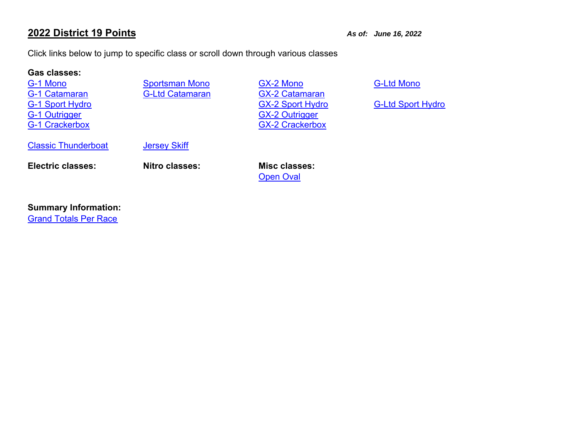# **2022 District 19 Points**

*As of: June 16, 2022*

Click links below to jump to specific class or scroll down through various classes

## **Gas classes:**

G-1 MonoG-1 CatamaranG-1 Crackerbox

**G-Ltd Catamaran** 

 Sportsman Mono GX-2 Mono G-Ltd Mono G-1 Sport Hydro G-1 Sport Hydro G-Ltd Sport Hydro G-Ltd Sport Hydro G-Ltd Sport Hydro G-1 Outrigger G-1 Outrigger GX-2 Crackerbox

Classic Thunderboat

Jersey Skiff

**Electric classes: Nitro classes: Misc classes:**

**Open Oval** 

## **Summary Information:**

Grand Totals Per Race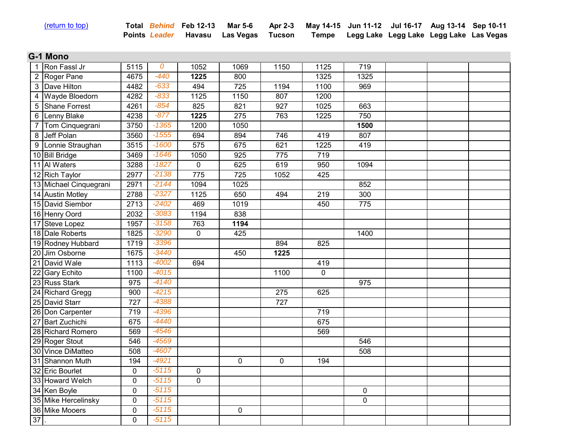| (return to top) |  |  |
|-----------------|--|--|
|                 |  |  |

(return to top) **Total** *Behind* **Feb 12-13 Mar 5-6** 

**Points** *Leader* **Havasu Las Vegas Tucson Apr 2-3** 

**May 14-15 Jun 11-12 Jul 16-17 Aug 13-14 Sep 10-11 Tempe Legg Lake Legg Lake Legg Lake Las Vegas**

#### **G-1 Mono** 100000

| 1  | Ron Fassl Jr           | 5115        | 0       | 1052             | 1069        | 1150             | 1125        | 719         |  |  |
|----|------------------------|-------------|---------|------------------|-------------|------------------|-------------|-------------|--|--|
|    | 2 Roger Pane           | 4675        | $-440$  | 1225             | 800         |                  | 1325        | 1325        |  |  |
|    | 3 Dave Hilton          | 4482        | $-633$  | 494              | 725         | 1194             | 1100        | 969         |  |  |
|    | 4 Wayde Bloedorn       | 4282        | $-833$  | 1125             | 1150        | 807              | 1200        |             |  |  |
| 5  | Shane Forrest          | 4261        | $-854$  | 825              | 821         | 927              | 1025        | 663         |  |  |
|    | 6 Lenny Blake          | 4238        | $-877$  | 1225             | 275         | 763              | 1225        | 750         |  |  |
| 7  | Tom Cinquegrani        | 3750        | $-1365$ | 1200             | 1050        |                  |             | 1500        |  |  |
|    | 8 Jeff Polan           | 3560        | $-1555$ | 694              | 894         | 746              | 419         | 807         |  |  |
|    | 9 Lonnie Straughan     | 3515        | $-1600$ | $\overline{575}$ | 675         | 621              | 1225        | 419         |  |  |
|    | 10 Bill Bridge         | 3469        | $-1646$ | 1050             | 925         | 775              | 719         |             |  |  |
|    | 11 Al Waters           | 3288        | $-1827$ | $\mathbf 0$      | 625         | 619              | 950         | 1094        |  |  |
|    | 12 Rich Taylor         | 2977        | $-2138$ | 775              | 725         | 1052             | 425         |             |  |  |
|    | 13 Michael Cinquegrani | 2971        | $-2144$ | 1094             | 1025        |                  |             | 852         |  |  |
|    | 14 Austin Motley       | 2788        | $-2327$ | 1125             | 650         | 494              | 219         | 300         |  |  |
|    | 15 David Siembor       | 2713        | $-2402$ | 469              | 1019        |                  | 450         | 775         |  |  |
|    | 16 Henry Oord          | 2032        | $-3083$ | 1194             | 838         |                  |             |             |  |  |
|    | 17 Steve Lopez         | 1957        | $-3158$ | 763              | 1194        |                  |             |             |  |  |
|    | 18 Dale Roberts        | 1825        | $-3290$ | $\mathbf 0$      | 425         |                  |             | 1400        |  |  |
|    | 19 Rodney Hubbard      | 1719        | $-3396$ |                  |             | 894              | 825         |             |  |  |
|    | 20 Jim Osborne         | 1675        | $-3440$ |                  | 450         | 1225             |             |             |  |  |
|    | 21 David Wale          | 1113        | $-4002$ | 694              |             |                  | 419         |             |  |  |
|    | 22 Gary Echito         | 1100        | $-4015$ |                  |             | 1100             | $\mathbf 0$ |             |  |  |
|    | 23 Russ Stark          | 975         | $-4140$ |                  |             |                  |             | 975         |  |  |
|    | 24 Richard Gregg       | 900         | $-4215$ |                  |             | $\overline{275}$ | 625         |             |  |  |
|    | 25 David Starr         | 727         | $-4388$ |                  |             | $\overline{727}$ |             |             |  |  |
|    | 26 Don Carpenter       | 719         | $-4396$ |                  |             |                  | 719         |             |  |  |
|    | 27 Bart Zuchichi       | 675         | $-4440$ |                  |             |                  | 675         |             |  |  |
|    | 28 Richard Romero      | 569         | $-4546$ |                  |             |                  | 569         |             |  |  |
|    | 29 Roger Stout         | 546         | $-4569$ |                  |             |                  |             | 546         |  |  |
|    | 30 Vince DiMatteo      | 508         | $-4607$ |                  |             |                  |             | 508         |  |  |
|    | 31 Shannon Muth        | 194         | $-4921$ |                  | $\mathbf 0$ | $\mathbf 0$      | 194         |             |  |  |
|    | 32 Eric Bourlet        | $\mathbf 0$ | $-5115$ | $\mathbf 0$      |             |                  |             |             |  |  |
|    | 33 Howard Welch        | $\mathbf 0$ | $-5115$ | $\overline{0}$   |             |                  |             |             |  |  |
|    | 34 Ken Boyle           | $\mathbf 0$ | $-5115$ |                  |             |                  |             | $\mathbf 0$ |  |  |
|    | 35 Mike Hercelinsky    | $\mathbf 0$ | $-5115$ |                  |             |                  |             | $\mathbf 0$ |  |  |
|    | 36 Mike Mooers         | $\pmb{0}$   | $-5115$ |                  | $\pmb{0}$   |                  |             |             |  |  |
| 37 |                        | 0           | $-5115$ |                  |             |                  |             |             |  |  |
|    |                        |             |         |                  |             |                  |             |             |  |  |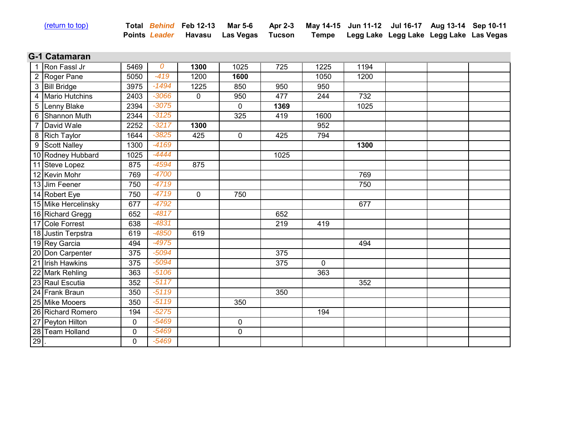| (return to top) |  |
|-----------------|--|
|                 |  |

| <u>(return to top)</u> |  | Total Behind Feb 12-13 Mar 5-6 Apr 2-3 May 14-15 Jun 11-12 Jul 16-17 Aug 13-14 Sep 10-11 |  |  |  |
|------------------------|--|------------------------------------------------------------------------------------------|--|--|--|
|                        |  | Points Leader Havasu Las Vegas Tucson Tempe Legg Lake Legg Lake Legg Lake Las Vegas      |  |  |  |

#### **G-1 Catamaran 1000000000000000**

|        | Ron Fassl Jr          | 5469 | 0       | 1300        | 1025        | 725  | 1225         | 1194 |  |  |
|--------|-----------------------|------|---------|-------------|-------------|------|--------------|------|--|--|
| 2      | Roger Pane            | 5050 | $-419$  | 1200        | 1600        |      | 1050         | 1200 |  |  |
|        | 3 Bill Bridge         | 3975 | $-1494$ | 1225        | 850         | 950  | 950          |      |  |  |
|        | <b>Mario Hutchins</b> | 2403 | $-3066$ | 0           | 950         | 477  | 244          | 732  |  |  |
|        | 5 Lenny Blake         | 2394 | $-3075$ |             | $\Omega$    | 1369 |              | 1025 |  |  |
|        | 6 Shannon Muth        | 2344 | $-3125$ |             | 325         | 419  | 1600         |      |  |  |
|        | David Wale            | 2252 | $-3217$ | 1300        |             |      | 952          |      |  |  |
|        | 8 Rich Taylor         | 1644 | $-3825$ | 425         | $\mathbf 0$ | 425  | 794          |      |  |  |
|        | 9 Scott Nalley        | 1300 | $-4169$ |             |             |      |              | 1300 |  |  |
|        | 10 Rodney Hubbard     | 1025 | $-4444$ |             |             | 1025 |              |      |  |  |
|        | 11 Steve Lopez        | 875  | $-4594$ | 875         |             |      |              |      |  |  |
|        | 12 Kevin Mohr         | 769  | $-4700$ |             |             |      |              | 769  |  |  |
|        | 13 Jim Feener         | 750  | $-4719$ |             |             |      |              | 750  |  |  |
|        | 14 Robert Eye         | 750  | $-4719$ | $\mathbf 0$ | 750         |      |              |      |  |  |
|        | 15 Mike Hercelinsky   | 677  | $-4792$ |             |             |      |              | 677  |  |  |
|        | 16 Richard Gregg      | 652  | $-4817$ |             |             | 652  |              |      |  |  |
|        | 17 Cole Forrest       | 638  | $-4831$ |             |             | 219  | 419          |      |  |  |
|        | 18 Justin Terpstra    | 619  | $-4850$ | 619         |             |      |              |      |  |  |
|        | 19 Rey Garcia         | 494  | $-4975$ |             |             |      |              | 494  |  |  |
|        | 20 Don Carpenter      | 375  | $-5094$ |             |             | 375  |              |      |  |  |
|        | 21 Irish Hawkins      | 375  | $-5094$ |             |             | 375  | $\mathbf{0}$ |      |  |  |
|        | 22 Mark Rehling       | 363  | $-5106$ |             |             |      | 363          |      |  |  |
|        | 23 Raul Escutia       | 352  | $-5117$ |             |             |      |              | 352  |  |  |
|        | 24 Frank Braun        | 350  | $-5119$ |             |             | 350  |              |      |  |  |
|        | 25 Mike Mooers        | 350  | $-5119$ |             | 350         |      |              |      |  |  |
|        | 26 Richard Romero     | 194  | $-5275$ |             |             |      | 194          |      |  |  |
|        | 27 Peyton Hilton      | 0    | $-5469$ |             | 0           |      |              |      |  |  |
|        | 28 Team Holland       | 0    | $-5469$ |             | $\mathbf 0$ |      |              |      |  |  |
| $29$ . |                       | 0    | $-5469$ |             |             |      |              |      |  |  |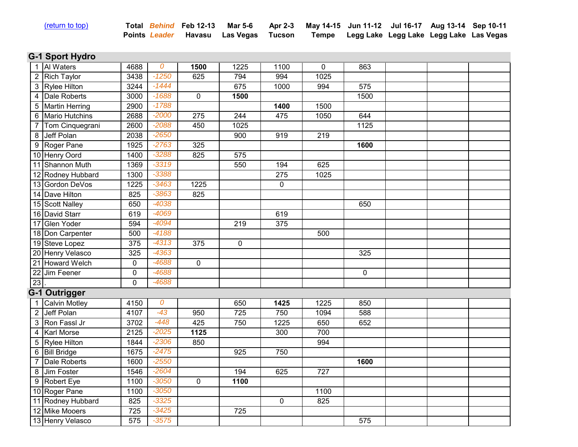| (return to top) |  |  |
|-----------------|--|--|
|                 |  |  |

| <u>(return to top)</u> |  | Total Behind Feb 12-13 Mar 5-6 Apr 2-3 May 14-15 Jun 11-12 Jul 16-17 Aug 13-14 Sep 10-11 |  |  |  |
|------------------------|--|------------------------------------------------------------------------------------------|--|--|--|
|                        |  | Points Leader Havasu Las Vegas Tucson Tempe Legg Lake Legg Lake Legg Lake Las Vegas      |  |  |  |

# **G-1 Sport Hydro**

|                | 1 Al Waters          | 4688        | 0       | 1500        | 1225        | 1100           | $\mathbf 0$      | 863       |  |  |
|----------------|----------------------|-------------|---------|-------------|-------------|----------------|------------------|-----------|--|--|
|                | 2 Rich Taylor        | 3438        | $-1250$ | 625         | 794         | 994            | 1025             |           |  |  |
|                | 3 Rylee Hilton       | 3244        | $-1444$ |             | 675         | 1000           | 994              | 575       |  |  |
|                | 4 Dale Roberts       | 3000        | $-1688$ | 0           | 1500        |                |                  | 1500      |  |  |
|                | 5 Martin Herring     | 2900        | $-1788$ |             |             | 1400           | 1500             |           |  |  |
|                | 6 Mario Hutchins     | 2688        | $-2000$ | 275         | 244         | 475            | 1050             | 644       |  |  |
| 7              | Tom Cinquegrani      | 2600        | $-2088$ | 450         | 1025        |                |                  | 1125      |  |  |
|                | 8 Jeff Polan         | 2038        | $-2650$ |             | 900         | 919            | 219              |           |  |  |
|                | 9 Roger Pane         | 1925        | $-2763$ | 325         |             |                |                  | 1600      |  |  |
|                | 10 Henry Oord        | 1400        | $-3288$ | 825         | 575         |                |                  |           |  |  |
|                | 11 Shannon Muth      | 1369        | $-3319$ |             | 550         | 194            | 625              |           |  |  |
|                | 12 Rodney Hubbard    | 1300        | $-3388$ |             |             | 275            | 1025             |           |  |  |
|                | 13 Gordon DeVos      | 1225        | $-3463$ | 1225        |             | $\mathbf 0$    |                  |           |  |  |
|                | 14 Dave Hilton       | 825         | $-3863$ | 825         |             |                |                  |           |  |  |
|                | 15 Scott Nalley      | 650         | $-4038$ |             |             |                |                  | 650       |  |  |
|                | 16 David Starr       | 619         | $-4069$ |             |             | 619            |                  |           |  |  |
|                | 17 Glen Yoder        | 594         | $-4094$ |             | 219         | 375            |                  |           |  |  |
|                | 18 Don Carpenter     | 500         | $-4188$ |             |             |                | 500              |           |  |  |
|                | 19 Steve Lopez       | 375         | $-4313$ | 375         | $\mathbf 0$ |                |                  |           |  |  |
|                | 20 Henry Velasco     | 325         | $-4363$ |             |             |                |                  | 325       |  |  |
|                | 21 Howard Welch      | $\pmb{0}$   | $-4688$ | 0           |             |                |                  |           |  |  |
|                | 22 Jim Feener        | $\pmb{0}$   | $-4688$ |             |             |                |                  | $\pmb{0}$ |  |  |
| 23             |                      | $\mathbf 0$ | $-4688$ |             |             |                |                  |           |  |  |
|                | <b>G-1 Outrigger</b> |             |         |             |             |                |                  |           |  |  |
|                | 1 Calvin Motley      | 4150        | 0       |             | 650         | 1425           | 1225             | 850       |  |  |
|                | 2 Jeff Polan         | 4107        | $-43$   | 950         | 725         | 750            | 1094             | 588       |  |  |
|                | 3 Ron Fassl Jr       | 3702        | $-448$  | 425         | 750         | 1225           | 650              | 652       |  |  |
| 4              | <b>Karl Morse</b>    | 2125        | $-2025$ | 1125        |             | 300            | 700              |           |  |  |
|                | 5 Rylee Hilton       | 1844        | $-2306$ | 850         |             |                | 994              |           |  |  |
|                | 6 Bill Bridge        | 1675        | $-2475$ |             | 925         | 750            |                  |           |  |  |
| $\overline{7}$ | Dale Roberts         | 1600        | $-2550$ |             |             |                |                  | 1600      |  |  |
|                | 8 Jim Foster         | 1546        | $-2604$ |             | 194         | 625            | $\overline{727}$ |           |  |  |
|                | 9 Robert Eye         | 1100        | $-3050$ | $\mathbf 0$ | 1100        |                |                  |           |  |  |
|                | 10 Roger Pane        | 1100        | $-3050$ |             |             |                | 1100             |           |  |  |
|                | 11 Rodney Hubbard    | 825         | $-3325$ |             |             | $\overline{0}$ | 825              |           |  |  |
|                | 12 Mike Mooers       | 725         | $-3425$ |             | 725         |                |                  |           |  |  |
|                | 13 Henry Velasco     | 575         | $-3575$ |             |             |                |                  | 575       |  |  |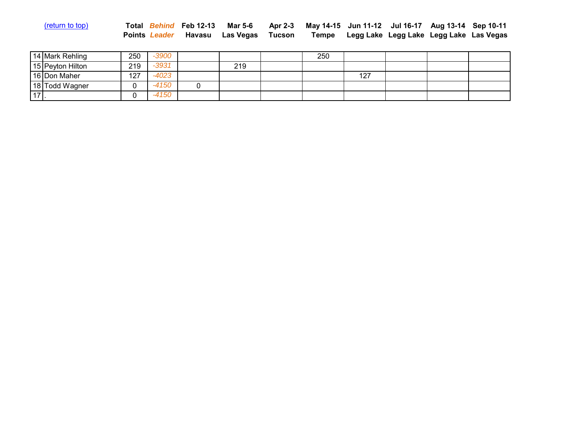| <u>(return to top)</u> |  | Total Behind Feb 12-13 Mar 5-6 Apr 2-3 May 14-15 Jun 11-12 Jul 16-17 Aug 13-14 Sep 10-11 |  |  |  |
|------------------------|--|------------------------------------------------------------------------------------------|--|--|--|
|                        |  | Points Leader Havasu Las Vegas Tucson Tempe Legg Lake Legg Lake Legg Lake Las Vegas      |  |  |  |

|         | 14 Mark Rehling  | 250 | -3900   |     | 250 |     |  |  |
|---------|------------------|-----|---------|-----|-----|-----|--|--|
|         | 15 Peyton Hilton | 219 | $-3931$ | 219 |     |     |  |  |
|         | 16 Don Maher     | 127 | -4023   |     |     | 127 |  |  |
|         | 18 Todd Wagner   |     | -4150   |     |     |     |  |  |
| $171$ . |                  |     | -4150   |     |     |     |  |  |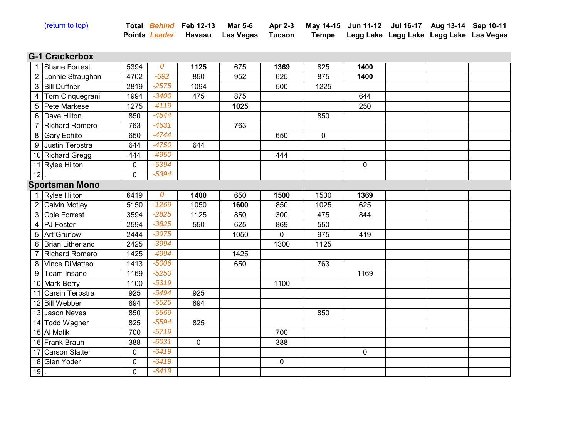|  |  | (return to top) |
|--|--|-----------------|
|  |  |                 |

| <u>(return to top)</u> |  | Total Behind Feb 12-13 Mar 5-6 Apr 2-3 May 14-15 Jun 11-12 Jul 16-17 Aug 13-14 Sep 10-11 |                                               |  |  |
|------------------------|--|------------------------------------------------------------------------------------------|-----------------------------------------------|--|--|
|                        |  | Points <i>Leader</i> Havasu Las-Vegas Tucson                                             | Tempe Legg Lake Legg Lake Legg Lake Las Vegas |  |  |

### **G-1 Crackerbox** 100000

|                | Shane Forrest         | 5394 | 0       | 1125        | 675  | 1369        | 825         | 1400        |  |  |
|----------------|-----------------------|------|---------|-------------|------|-------------|-------------|-------------|--|--|
|                | 2 Lonnie Straughan    | 4702 | $-692$  | 850         | 952  | 625         | 875         | 1400        |  |  |
|                | 3 Bill Duffner        | 2819 | $-2575$ | 1094        |      | 500         | 1225        |             |  |  |
| $4 \mid$       | Tom Cinquegrani       | 1994 | $-3400$ | 475         | 875  |             |             | 644         |  |  |
|                | 5 Pete Markese        | 1275 | $-4119$ |             | 1025 |             |             | 250         |  |  |
|                | 6 Dave Hilton         | 850  | $-4544$ |             |      |             | 850         |             |  |  |
|                | <b>Richard Romero</b> | 763  | $-4631$ |             | 763  |             |             |             |  |  |
|                | 8 Gary Echito         | 650  | $-4744$ |             |      | 650         | $\mathbf 0$ |             |  |  |
|                | 9 Justin Terpstra     | 644  | $-4750$ | 644         |      |             |             |             |  |  |
|                | 10 Richard Gregg      | 444  | $-4950$ |             |      | 444         |             |             |  |  |
|                | 11 Rylee Hilton       | 0    | $-5394$ |             |      |             |             | $\mathbf 0$ |  |  |
| 12             |                       | 0    | $-5394$ |             |      |             |             |             |  |  |
|                | <b>Sportsman Mono</b> |      |         |             |      |             |             |             |  |  |
|                | <b>Rylee Hilton</b>   | 6419 | 0       | 1400        | 650  | 1500        | 1500        | 1369        |  |  |
|                | 2 Calvin Motley       | 5150 | $-1269$ | 1050        | 1600 | 850         | 1025        | 625         |  |  |
|                | 3 Cole Forrest        | 3594 | $-2825$ | 1125        | 850  | 300         | 475         | 844         |  |  |
|                | 4 PJ Foster           | 2594 | $-3825$ | 550         | 625  | 869         | 550         |             |  |  |
|                | 5 Art Grunow          | 2444 | $-3975$ |             | 1050 | $\mathbf 0$ | 975         | 419         |  |  |
|                | 6 Brian Litherland    | 2425 | $-3994$ |             |      | 1300        | 1125        |             |  |  |
|                | <b>Richard Romero</b> | 1425 | $-4994$ |             | 1425 |             |             |             |  |  |
|                | 8 Vince DiMatteo      | 1413 | $-5006$ |             | 650  |             | 763         |             |  |  |
| 9 <sup>1</sup> | Team Insane           | 1169 | $-5250$ |             |      |             |             | 1169        |  |  |
|                | 10 Mark Berry         | 1100 | $-5319$ |             |      | 1100        |             |             |  |  |
|                | 11 Carsin Terpstra    | 925  | $-5494$ | 925         |      |             |             |             |  |  |
|                | 12 Bill Webber        | 894  | $-5525$ | 894         |      |             |             |             |  |  |
|                | 13 Jason Neves        | 850  | $-5569$ |             |      |             | 850         |             |  |  |
|                | 14 Todd Wagner        | 825  | $-5594$ | 825         |      |             |             |             |  |  |
|                | 15 Al Malik           | 700  | $-5719$ |             |      | 700         |             |             |  |  |
|                | 16 Frank Braun        | 388  | $-6031$ | $\mathbf 0$ |      | 388         |             |             |  |  |
|                | 17 Carson Slatter     | 0    | $-6419$ |             |      |             |             | $\mathbf 0$ |  |  |
|                | 18 Glen Yoder         | 0    | $-6419$ |             |      | $\mathbf 0$ |             |             |  |  |
| $19$ .         |                       | 0    | $-6419$ |             |      |             |             |             |  |  |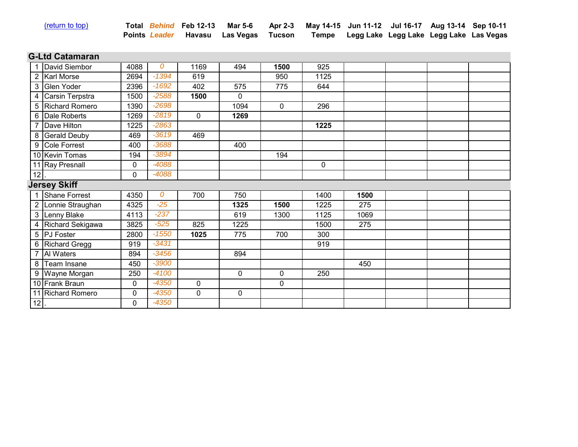| (return to top) |  |  |
|-----------------|--|--|
|                 |  |  |
|                 |  |  |

| <u>(return to top)</u> |  | Total Behind Feb 12-13 Mar 5-6 Apr 2-3 May 14-15 Jun 11-12 Jul 16-17 Aug 13-14 Sep 10-11 |  |  |  |
|------------------------|--|------------------------------------------------------------------------------------------|--|--|--|
|                        |  | Points Leader Havasu Las Vegas Tucson Tempe Legg Lake Legg Lake Legg Lake Las Vegas      |  |  |  |

## **G-Ltd Catamaran 1000000**

|                | David Siembor         | 4088         | 0       | 1169        | 494         | 1500        | 925         |      |  |  |
|----------------|-----------------------|--------------|---------|-------------|-------------|-------------|-------------|------|--|--|
|                | 2   Karl Morse        | 2694         | $-1394$ | 619         |             | 950         | 1125        |      |  |  |
|                | 3 Glen Yoder          | 2396         | $-1692$ | 402         | 575         | 775         | 644         |      |  |  |
| 4              | Carsin Terpstra       | 1500         | $-2588$ | 1500        | $\Omega$    |             |             |      |  |  |
|                | 5 Richard Romero      | 1390         | $-2698$ |             | 1094        | $\mathbf 0$ | 296         |      |  |  |
| 6              | Dale Roberts          | 1269         | $-2819$ | $\mathbf 0$ | 1269        |             |             |      |  |  |
|                | Dave Hilton           | 1225         | $-2863$ |             |             |             | 1225        |      |  |  |
| 8              | <b>Gerald Deuby</b>   | 469          | $-3619$ | 469         |             |             |             |      |  |  |
|                | 9 Cole Forrest        | 400          | $-3688$ |             | 400         |             |             |      |  |  |
|                | 10 Kevin Tomas        | 194          | $-3894$ |             |             | 194         |             |      |  |  |
|                | 11 Ray Presnall       | 0            | $-4088$ |             |             |             | $\mathbf 0$ |      |  |  |
| 12             |                       | $\mathbf{0}$ | $-4088$ |             |             |             |             |      |  |  |
|                | <b>Jersey Skiff</b>   |              |         |             |             |             |             |      |  |  |
|                | 1 Shane Forrest       | 4350         | 0       | 700         | 750         |             | 1400        | 1500 |  |  |
|                | 2 Lonnie Straughan    | 4325         | $-25$   |             | 1325        | 1500        | 1225        | 275  |  |  |
|                | 3 Lenny Blake         | 4113         | $-237$  |             | 619         | 1300        | 1125        | 1069 |  |  |
|                | 4 Richard Sekigawa    | 3825         | $-525$  | 825         | 1225        |             | 1500        | 275  |  |  |
|                | 5 PJ Foster           | 2800         | $-1550$ | 1025        | 775         | 700         | 300         |      |  |  |
|                | 6 Richard Gregg       | 919          | $-3431$ |             |             |             | 919         |      |  |  |
| $\overline{7}$ | Al Waters             | 894          | $-3456$ |             | 894         |             |             |      |  |  |
| 8              | Team Insane           | 450          | $-3900$ |             |             |             |             | 450  |  |  |
| 9              | Wayne Morgan          | 250          | $-4100$ |             | $\mathbf 0$ | 0           | 250         |      |  |  |
|                | 10 Frank Braun        | 0            | $-4350$ | $\mathbf 0$ |             | $\mathbf 0$ |             |      |  |  |
|                | <b>Richard Romero</b> | $\pmb{0}$    | $-4350$ | $\mathbf 0$ | $\Omega$    |             |             |      |  |  |
| 12             |                       | 0            | $-4350$ |             |             |             |             |      |  |  |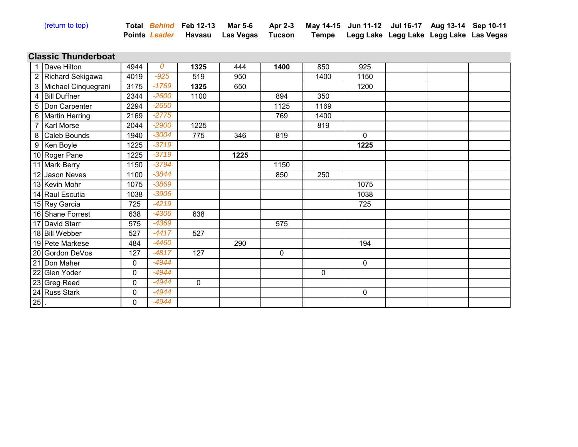| (return to top |  |
|----------------|--|
|                |  |

| <u>(return to top)</u> |  | Total Behind Feb 12-13 Mar 5-6 Apr 2-3 May 14-15 Jun 11-12 Jul 16-17 Aug 13-14 Sep 10-11 |                                                      |  |  |
|------------------------|--|------------------------------------------------------------------------------------------|------------------------------------------------------|--|--|
|                        |  | Points <i>Leader</i> Havasu Las Vegas Tucson                                             | <b>Tempe</b> Legg Lake Legg Lake Legg Lake Las Vegas |  |  |

#### **Classic Thunderboat** 100000

|        | Dave Hilton           | 4944        | 0       | 1325        | 444  | 1400        | 850  | 925  |  |  |
|--------|-----------------------|-------------|---------|-------------|------|-------------|------|------|--|--|
|        | 2 Richard Sekigawa    | 4019        | $-925$  | 519         | 950  |             | 1400 | 1150 |  |  |
|        | 3 Michael Cinquegrani | 3175        | $-1769$ | 1325        | 650  |             |      | 1200 |  |  |
|        | 4 Bill Duffner        | 2344        | $-2600$ | 1100        |      | 894         | 350  |      |  |  |
|        | 5 Don Carpenter       | 2294        | $-2650$ |             |      | 1125        | 1169 |      |  |  |
|        | 6 Martin Herring      | 2169        | $-2775$ |             |      | 769         | 1400 |      |  |  |
|        | 7 Karl Morse          | 2044        | $-2900$ | 1225        |      |             | 819  |      |  |  |
|        | 8 Caleb Bounds        | 1940        | $-3004$ | 775         | 346  | 819         |      | 0    |  |  |
|        | 9 Ken Boyle           | 1225        | $-3719$ |             |      |             |      | 1225 |  |  |
|        | 10 Roger Pane         | 1225        | $-3719$ |             | 1225 |             |      |      |  |  |
|        | 11 Mark Berry         | 1150        | $-3794$ |             |      | 1150        |      |      |  |  |
|        | 12 Jason Neves        | 1100        | $-3844$ |             |      | 850         | 250  |      |  |  |
|        | 13 Kevin Mohr         | 1075        | $-3869$ |             |      |             |      | 1075 |  |  |
|        | 14 Raul Escutia       | 1038        | $-3906$ |             |      |             |      | 1038 |  |  |
|        | 15 Rey Garcia         | 725         | $-4219$ |             |      |             |      | 725  |  |  |
|        | 16 Shane Forrest      | 638         | $-4306$ | 638         |      |             |      |      |  |  |
|        | 17 David Starr        | 575         | $-4369$ |             |      | 575         |      |      |  |  |
|        | 18 Bill Webber        | 527         | $-4417$ | 527         |      |             |      |      |  |  |
|        | 19 Pete Markese       | 484         | $-4460$ |             | 290  |             |      | 194  |  |  |
|        | 20 Gordon DeVos       | 127         | $-4817$ | 127         |      | $\mathbf 0$ |      |      |  |  |
|        | 21 Don Maher          | $\mathbf 0$ | $-4944$ |             |      |             |      | 0    |  |  |
|        | 22 Glen Yoder         | $\mathbf 0$ | $-4944$ |             |      |             | 0    |      |  |  |
|        | 23 Greg Reed          | $\mathbf 0$ | $-4944$ | $\mathbf 0$ |      |             |      |      |  |  |
|        | 24 Russ Stark         | $\mathbf 0$ | $-4944$ |             |      |             |      | 0    |  |  |
| $25$ . |                       | 0           | $-4944$ |             |      |             |      |      |  |  |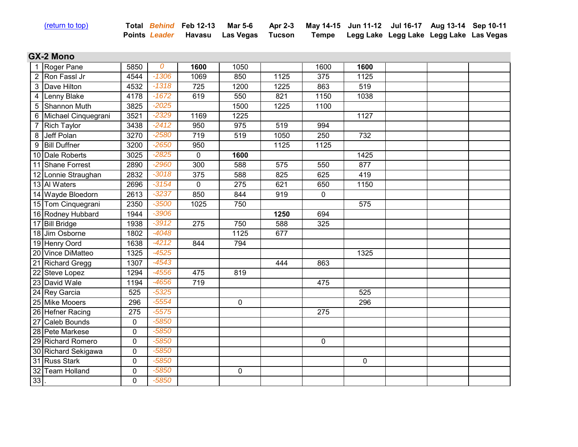|  | (return to top) |  | Total |
|--|-----------------|--|-------|
|--|-----------------|--|-------|

|  | Total Behind Feb 12-13 Mar 5-6 Apr 2-3 May 14-15 Jun 11-12 Jul 16-17 Aug 13-14 Sep 10-11 |                                               |  |  |
|--|------------------------------------------------------------------------------------------|-----------------------------------------------|--|--|
|  | Points Leader Havasu Las Vegas Tucson                                                    | Tempe Legg Lake Legg Lake Legg Lake Las Vegas |  |  |

#### **GX-2 Mono** 100000

|    | Roger Pane            | 5850        | $\overline{0}$ | 1600        | 1050        |      | 1600        | 1600        |  |  |
|----|-----------------------|-------------|----------------|-------------|-------------|------|-------------|-------------|--|--|
|    | 2 Ron Fassl Jr        | 4544        | $-1306$        | 1069        | 850         | 1125 | 375         | 1125        |  |  |
|    | 3 Dave Hilton         | 4532        | $-1318$        | 725         | 1200        | 1225 | 863         | 519         |  |  |
|    | 4 Lenny Blake         | 4178        | $-1672$        | 619         | 550         | 821  | 1150        | 1038        |  |  |
| 5  | Shannon Muth          | 3825        | $-2025$        |             | 1500        | 1225 | 1100        |             |  |  |
|    | 6 Michael Cinquegrani | 3521        | $-2329$        | 1169        | 1225        |      |             | 1127        |  |  |
|    | <b>Rich Taylor</b>    | 3438        | $-2412$        | 950         | 975         | 519  | 994         |             |  |  |
|    | 8 Jeff Polan          | 3270        | $-2580$        | 719         | 519         | 1050 | 250         | 732         |  |  |
|    | 9 Bill Duffner        | 3200        | $-2650$        | 950         |             | 1125 | 1125        |             |  |  |
|    | 10 Dale Roberts       | 3025        | $-2825$        | $\mathbf 0$ | 1600        |      |             | 1425        |  |  |
|    | 11 Shane Forrest      | 2890        | $-2960$        | 300         | 588         | 575  | 550         | 877         |  |  |
|    | 12 Lonnie Straughan   | 2832        | $-3018$        | 375         | 588         | 825  | 625         | 419         |  |  |
|    | 13 Al Waters          | 2696        | $-3154$        | 0           | 275         | 621  | 650         | 1150        |  |  |
|    | 14 Wayde Bloedorn     | 2613        | $-3237$        | 850         | 844         | 919  | $\mathbf 0$ |             |  |  |
|    | 15 Tom Cinquegrani    | 2350        | $-3500$        | 1025        | 750         |      |             | 575         |  |  |
|    | 16 Rodney Hubbard     | 1944        | $-3906$        |             |             | 1250 | 694         |             |  |  |
|    | 17 Bill Bridge        | 1938        | $-3912$        | 275         | 750         | 588  | 325         |             |  |  |
|    | 18 Jim Osborne        | 1802        | $-4048$        |             | 1125        | 677  |             |             |  |  |
|    | 19 Henry Oord         | 1638        | $-4212$        | 844         | 794         |      |             |             |  |  |
|    | 20 Vince DiMatteo     | 1325        | $-4525$        |             |             |      |             | 1325        |  |  |
|    | 21 Richard Gregg      | 1307        | $-4543$        |             |             | 444  | 863         |             |  |  |
|    | 22 Steve Lopez        | 1294        | $-4556$        | 475         | 819         |      |             |             |  |  |
|    | 23 David Wale         | 1194        | $-4656$        | 719         |             |      | 475         |             |  |  |
|    | 24 Rey Garcia         | 525         | $-5325$        |             |             |      |             | 525         |  |  |
|    | 25 Mike Mooers        | 296         | $-5554$        |             | $\mathbf 0$ |      |             | 296         |  |  |
|    | 26 Hefner Racing      | 275         | $-5575$        |             |             |      | 275         |             |  |  |
|    | 27 Caleb Bounds       | $\mathbf 0$ | $-5850$        |             |             |      |             |             |  |  |
|    | 28 Pete Markese       | $\mathbf 0$ | $-5850$        |             |             |      |             |             |  |  |
|    | 29 Richard Romero     | $\mathbf 0$ | $-5850$        |             |             |      | $\mathbf 0$ |             |  |  |
|    | 30 Richard Sekigawa   | $\mathbf 0$ | $-5850$        |             |             |      |             |             |  |  |
|    | 31 Russ Stark         | $\pmb{0}$   | $-5850$        |             |             |      |             | $\mathbf 0$ |  |  |
| 32 | <b>Team Holland</b>   | $\pmb{0}$   | $-5850$        |             | $\mathbf 0$ |      |             |             |  |  |
| 33 |                       | 0           | $-5850$        |             |             |      |             |             |  |  |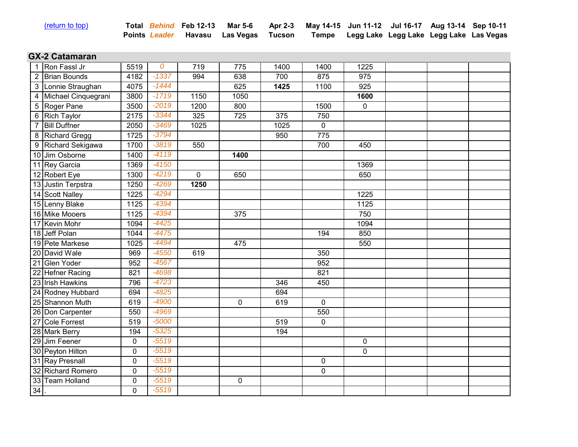| (return to top) |
|-----------------|

| <u>(return to top)</u> |  | Total Behind Feb 12-13 Mar 5-6 Apr 2-3 May 14-15 Jun 11-12 Jul 16-17 Aug 13-14 Sep 10-11 |                                               |  |  |
|------------------------|--|------------------------------------------------------------------------------------------|-----------------------------------------------|--|--|
|                        |  | Points Leader Havasu Las Vegas Tucson                                                    | Tempe Legg Lake Legg Lake Legg Lake Las Vegas |  |  |

### **GX-2 Catamaran 10000000**

|                | Ron Fassl Jr          | 5519        | $\overline{0}$ | 719         | 775         | 1400 | 1400             | 1225             |  |  |
|----------------|-----------------------|-------------|----------------|-------------|-------------|------|------------------|------------------|--|--|
| $\overline{2}$ | <b>Brian Bounds</b>   | 4182        | $-1337$        | 994         | 638         | 700  | 875              | 975              |  |  |
|                | 3 Lonnie Straughan    | 4075        | $-1444$        |             | 625         | 1425 | 1100             | $\overline{925}$ |  |  |
|                | 4 Michael Cinquegrani | 3800        | $-1719$        | 1150        | 1050        |      |                  | 1600             |  |  |
|                | 5 Roger Pane          | 3500        | $-2019$        | 1200        | 800         |      | 1500             | $\pmb{0}$        |  |  |
|                | 6 Rich Taylor         | 2175        | $-3344$        | 325         | 725         | 375  | 750              |                  |  |  |
|                | <b>Bill Duffner</b>   | 2050        | $-3469$        | 1025        |             | 1025 | $\mathbf 0$      |                  |  |  |
|                | 8 Richard Gregg       | 1725        | $-3794$        |             |             | 950  | $\overline{775}$ |                  |  |  |
|                | 9 Richard Sekigawa    | 1700        | $-3819$        | 550         |             |      | 700              | 450              |  |  |
|                | 10 Jim Osborne        | 1400        | $-4119$        |             | 1400        |      |                  |                  |  |  |
|                | 11 Rey Garcia         | 1369        | $-4150$        |             |             |      |                  | 1369             |  |  |
|                | 12 Robert Eye         | 1300        | $-4219$        | $\mathbf 0$ | 650         |      |                  | 650              |  |  |
|                | 13 Justin Terpstra    | 1250        | $-4269$        | 1250        |             |      |                  |                  |  |  |
|                | 14 Scott Nalley       | 1225        | $-4294$        |             |             |      |                  | 1225             |  |  |
|                | 15 Lenny Blake        | 1125        | $-4394$        |             |             |      |                  | 1125             |  |  |
|                | 16 Mike Mooers        | 1125        | -4394          |             | 375         |      |                  | 750              |  |  |
|                | 17 Kevin Mohr         | 1094        | $-4425$        |             |             |      |                  | 1094             |  |  |
|                | 18 Jeff Polan         | 1044        | $-4475$        |             |             |      | 194              | 850              |  |  |
|                | 19 Pete Markese       | 1025        | $-4494$        |             | 475         |      |                  | 550              |  |  |
|                | 20 David Wale         | 969         | $-4550$        | 619         |             |      | 350              |                  |  |  |
|                | 21 Glen Yoder         | 952         | $-4567$        |             |             |      | 952              |                  |  |  |
|                | 22 Hefner Racing      | 821         | $-4698$        |             |             |      | 821              |                  |  |  |
|                | 23 Irish Hawkins      | 796         | $-4723$        |             |             | 346  | 450              |                  |  |  |
|                | 24 Rodney Hubbard     | 694         | $-4825$        |             |             | 694  |                  |                  |  |  |
|                | 25 Shannon Muth       | 619         | $-4900$        |             | $\mathbf 0$ | 619  | $\mathbf 0$      |                  |  |  |
|                | 26 Don Carpenter      | 550         | $-4969$        |             |             |      | 550              |                  |  |  |
|                | 27 Cole Forrest       | 519         | $-5000$        |             |             | 519  | $\mathbf 0$      |                  |  |  |
|                | 28 Mark Berry         | 194         | $-5325$        |             |             | 194  |                  |                  |  |  |
|                | 29 Jim Feener         | $\mathbf 0$ | $-5519$        |             |             |      |                  | $\mathbf 0$      |  |  |
|                | 30 Peyton Hilton      | $\pmb{0}$   | $-5519$        |             |             |      |                  | $\mathbf 0$      |  |  |
|                | 31 Ray Presnall       | $\mathbf 0$ | $-5519$        |             |             |      | $\mathbf 0$      |                  |  |  |
|                | 32 Richard Romero     | 0           | $-5519$        |             |             |      | $\mathbf 0$      |                  |  |  |
|                | 33 Team Holland       | $\pmb{0}$   | $-5519$        |             | $\mathbf 0$ |      |                  |                  |  |  |
| $34$ .         |                       | 0           | $-5519$        |             |             |      |                  |                  |  |  |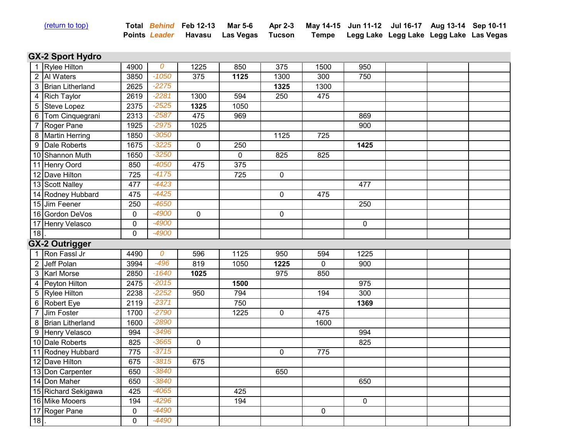| (return to top) |  |
|-----------------|--|
|                 |  |

| <u>(return to top)</u> |  | Total Behind Feb 12-13 Mar 5-6 Apr 2-3 May 14-15 Jun 11-12 Jul 16-17 Aug 13-14 Sep 10-11 |  |                                               |  |
|------------------------|--|------------------------------------------------------------------------------------------|--|-----------------------------------------------|--|
|                        |  | Points Leader Havasu Las-Vegas Tucson                                                    |  | Tempe Legg Lake Legg Lake Legg Lake Las Vegas |  |

# **GX-2 Sport Hydro**

|    | 1 Rylee Hilton      | 4900             | 0                  | 1225           | 850         | 375              | 1500        | 950       |  |  |
|----|---------------------|------------------|--------------------|----------------|-------------|------------------|-------------|-----------|--|--|
|    | 2 Al Waters         | 3850             | $-1050$            | 375            | 1125        | 1300             | 300         | 750       |  |  |
|    | 3 Brian Litherland  | 2625             | $-2275$            |                |             | 1325             | 1300        |           |  |  |
| 4  | <b>Rich Taylor</b>  | 2619             | $-2281$            | 1300           | 594         | 250              | 475         |           |  |  |
|    | 5 Steve Lopez       | 2375             | $-2525$            | 1325           | 1050        |                  |             |           |  |  |
|    | 6 Tom Cinquegrani   | 2313             | $-2587$            | 475            | 969         |                  |             | 869       |  |  |
|    | Roger Pane          | 1925             | $-2975$            | 1025           |             |                  |             | 900       |  |  |
|    | 8 Martin Herring    | 1850             | $-3050$            |                |             | 1125             | 725         |           |  |  |
|    | 9 Dale Roberts      | 1675             | $-3225$            | $\overline{0}$ | 250         |                  |             | 1425      |  |  |
|    | 10 Shannon Muth     | 1650             | $-3250$            |                | $\mathbf 0$ | 825              | 825         |           |  |  |
|    | 11 Henry Oord       | 850              | $-4050$            | 475            | 375         |                  |             |           |  |  |
|    | 12 Dave Hilton      | 725              | $-4175$            |                | 725         | $\pmb{0}$        |             |           |  |  |
|    | 13 Scott Nalley     | 477              | $-4423$            |                |             |                  |             | 477       |  |  |
|    | 14 Rodney Hubbard   | 475              | $-4425$            |                |             | 0                | 475         |           |  |  |
|    | 15 Jim Feener       | 250              | $-4650$            |                |             |                  |             | 250       |  |  |
|    | 16 Gordon DeVos     | $\mathbf 0$      | $-4900$            | 0              |             | 0                |             |           |  |  |
|    | 17 Henry Velasco    | $\pmb{0}$        | $-4900$            |                |             |                  |             | $\pmb{0}$ |  |  |
| 18 |                     | $\mathbf 0$      | $-4900$            |                |             |                  |             |           |  |  |
|    |                     |                  |                    |                |             |                  |             |           |  |  |
|    | GX-2 Outrigger      |                  |                    |                |             |                  |             |           |  |  |
|    | 1 Ron Fassl Jr      | 4490             | 0                  | 596            | 1125        | 950              | 594         | 1225      |  |  |
|    | 2 Jeff Polan        | 3994             | $-496$             | 819            | 1050        | 1225             | $\mathbf 0$ | 900       |  |  |
|    | 3 Karl Morse        | 2850             | $-1640$            | 1025           |             | $\overline{975}$ | 850         |           |  |  |
|    | 4 Peyton Hilton     | 2475             | $-2015$            |                | 1500        |                  |             | 975       |  |  |
|    | 5 Rylee Hilton      | 2238             | $-2252$            | 950            | 794         |                  | 194         | 300       |  |  |
|    | 6 Robert Eye        | 2119             | $-2371$            |                | 750         |                  |             | 1369      |  |  |
|    | 7 Jim Foster        | 1700             | $-2790$            |                | 1225        | $\mathbf 0$      | 475         |           |  |  |
|    | 8 Brian Litherland  | 1600             | $-2890$            |                |             |                  | 1600        |           |  |  |
|    | 9 Henry Velasco     | 994              | $-3496$            |                |             |                  |             | 994       |  |  |
|    | 10 Dale Roberts     | 825              | $-3665$            | $\mathbf 0$    |             |                  |             | 825       |  |  |
|    | 11 Rodney Hubbard   | 775              | $-3715$            |                |             | $\mathbf 0$      | 775         |           |  |  |
|    | 12 Dave Hilton      | 675              | $-3815$            | 675            |             |                  |             |           |  |  |
|    | 13 Don Carpenter    | 650              | $-3840$            |                |             | 650              |             |           |  |  |
|    | 14 Don Maher        | 650              | $-3840$            |                |             |                  |             | 650       |  |  |
|    | 15 Richard Sekigawa | 425              | $-4065$            |                | 425         |                  |             |           |  |  |
|    | 16 Mike Mooers      | 194              | $-4296$            |                | 194         |                  |             | $\pmb{0}$ |  |  |
| 18 | 17 Roger Pane       | $\mathbf 0$<br>0 | $-4490$<br>$-4490$ |                |             |                  | $\mathbf 0$ |           |  |  |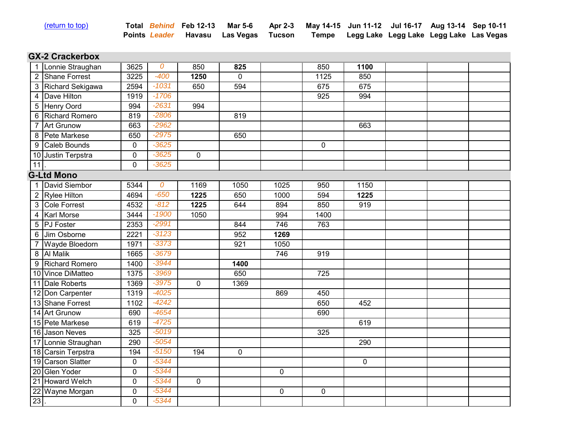| (return to top) |  |
|-----------------|--|
|                 |  |
|                 |  |

| <u>(return to top)</u> |  | Total Behind Feb 12-13 Mar 5-6 Apr 2-3 May 14-15 Jun 11-12 Jul 16-17 Aug 13-14 Sep 10-11 |  |  |  |
|------------------------|--|------------------------------------------------------------------------------------------|--|--|--|
|                        |  | Points Leader Havasu Las Vegas Tucson Tempe Legg Lake Legg Lake Legg Lake Las Vegas      |  |  |  |

## **GX-2 Crackerbox** 100000

|                | 1 Lonnie Straughan  | 3625        | 0       | 850         | 825         |             | 850              | 1100 |  |  |
|----------------|---------------------|-------------|---------|-------------|-------------|-------------|------------------|------|--|--|
|                | 2 Shane Forrest     | 3225        | $-400$  | 1250        | $\Omega$    |             | 1125             | 850  |  |  |
|                | 3 Richard Sekigawa  | 2594        | $-1031$ | 650         | 594         |             | 675              | 675  |  |  |
|                | 4 Dave Hilton       | 1919        | $-1706$ |             |             |             | $\overline{925}$ | 994  |  |  |
|                | 5 Henry Oord        | 994         | $-2631$ | 994         |             |             |                  |      |  |  |
|                | 6 Richard Romero    | 819         | $-2806$ |             | 819         |             |                  |      |  |  |
| $\overline{7}$ | <b>Art Grunow</b>   | 663         | $-2962$ |             |             |             |                  | 663  |  |  |
| 8              | Pete Markese        | 650         | $-2975$ |             | 650         |             |                  |      |  |  |
| 9              | Caleb Bounds        | 0           | $-3625$ |             |             |             | $\mathbf 0$      |      |  |  |
|                | 10 Justin Terpstra  | $\pmb{0}$   | $-3625$ | $\mathbf 0$ |             |             |                  |      |  |  |
| 11             |                     | $\mathbf 0$ | $-3625$ |             |             |             |                  |      |  |  |
|                | <b>G-Ltd Mono</b>   |             |         |             |             |             |                  |      |  |  |
|                | 1 David Siembor     | 5344        | 0       | 1169        | 1050        | 1025        | 950              | 1150 |  |  |
|                | 2 Rylee Hilton      | 4694        | $-650$  | 1225        | 650         | 1000        | 594              | 1225 |  |  |
|                | 3 Cole Forrest      | 4532        | $-812$  | 1225        | 644         | 894         | 850              | 919  |  |  |
|                | 4   Karl Morse      | 3444        | $-1900$ | 1050        |             | 994         | 1400             |      |  |  |
|                | 5 PJ Foster         | 2353        | $-2991$ |             | 844         | 746         | 763              |      |  |  |
|                | 6 Jim Osborne       | 2221        | $-3123$ |             | 952         | 1269        |                  |      |  |  |
|                | Wayde Bloedorn      | 1971        | $-3373$ |             | 921         | 1050        |                  |      |  |  |
|                | 8 Al Malik          | 1665        | $-3679$ |             |             | 746         | 919              |      |  |  |
|                | 9 Richard Romero    | 1400        | $-3944$ |             | 1400        |             |                  |      |  |  |
|                | 10 Vince DiMatteo   | 1375        | $-3969$ |             | 650         |             | 725              |      |  |  |
|                | 11 Dale Roberts     | 1369        | $-3975$ | 0           | 1369        |             |                  |      |  |  |
|                | 12 Don Carpenter    | 1319        | $-4025$ |             |             | 869         | 450              |      |  |  |
|                | 13 Shane Forrest    | 1102        | $-4242$ |             |             |             | 650              | 452  |  |  |
|                | 14 Art Grunow       | 690         | $-4654$ |             |             |             | 690              |      |  |  |
|                | 15 Pete Markese     | 619         | $-4725$ |             |             |             |                  | 619  |  |  |
|                | 16 Jason Neves      | 325         | $-5019$ |             |             |             | 325              |      |  |  |
|                | 17 Lonnie Straughan | 290         | $-5054$ |             |             |             |                  | 290  |  |  |
|                | 18 Carsin Terpstra  | 194         | $-5150$ | 194         | $\mathbf 0$ |             |                  |      |  |  |
|                | 19 Carson Slatter   | $\pmb{0}$   | $-5344$ |             |             |             |                  | 0    |  |  |
|                | 20 Glen Yoder       | $\mathbf 0$ | $-5344$ |             |             | $\mathbf 0$ |                  |      |  |  |
|                | 21 Howard Welch     | $\mathbf 0$ | $-5344$ | 0           |             |             |                  |      |  |  |
|                | 22 Wayne Morgan     | $\pmb{0}$   | $-5344$ |             |             | $\mathbf 0$ | $\mathbf 0$      |      |  |  |
| 23             |                     | 0           | $-5344$ |             |             |             |                  |      |  |  |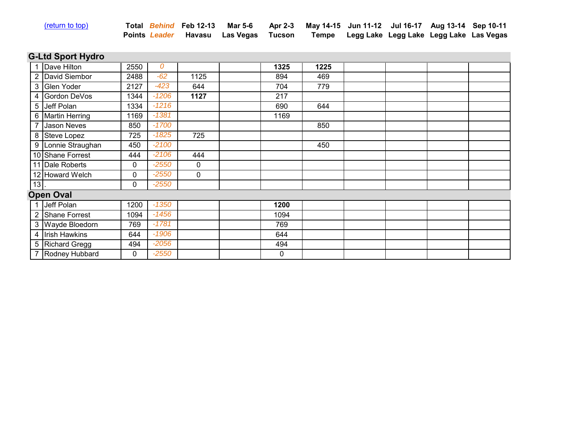| (return to top) |  |
|-----------------|--|

| <u>(return to top)</u> |  | Total Behind Feb 12-13 Mar 5-6 Apr 2-3 May 14-15 Jun 11-12 Jul 16-17 Aug 13-14 Sep 10-11 |  |  |  |
|------------------------|--|------------------------------------------------------------------------------------------|--|--|--|
|                        |  | Points Leader Havasu Las Vegas Tucson Tempe Legg Lake Legg Lake Legg Lake Las Vegas      |  |  |  |

# **G-Ltd Sport Hydro**

|    | Dave Hilton        | 2550 | 0       |      | 1325 | 1225 |  |  |
|----|--------------------|------|---------|------|------|------|--|--|
|    | 2 David Siembor    | 2488 | $-62$   | 1125 | 894  | 469  |  |  |
|    | 3 Glen Yoder       | 2127 | $-423$  | 644  | 704  | 779  |  |  |
|    | 4 Gordon DeVos     | 1344 | $-1206$ | 1127 | 217  |      |  |  |
|    | 5 Jeff Polan       | 1334 | $-1216$ |      | 690  | 644  |  |  |
|    | 6 Martin Herring   | 1169 | $-1381$ |      | 1169 |      |  |  |
|    | <b>Jason Neves</b> | 850  | $-1700$ |      |      | 850  |  |  |
|    | 8 Steve Lopez      | 725  | $-1825$ | 725  |      |      |  |  |
|    | 9 Lonnie Straughan | 450  | $-2100$ |      |      | 450  |  |  |
|    | 10 Shane Forrest   | 444  | $-2106$ | 444  |      |      |  |  |
|    | 11 Dale Roberts    | 0    | $-2550$ | 0    |      |      |  |  |
|    | 12 Howard Welch    | 0    | $-2550$ | 0    |      |      |  |  |
| 13 |                    | 0    | $-2550$ |      |      |      |  |  |
|    | <b>Open Oval</b>   |      |         |      |      |      |  |  |
|    | 1 Jeff Polan       | 1200 | $-1350$ |      | 1200 |      |  |  |
|    | 2 Shane Forrest    | 1094 | $-1456$ |      | 1094 |      |  |  |
|    | 3 Wayde Bloedorn   | 769  | $-1781$ |      | 769  |      |  |  |
|    | 4 Irish Hawkins    | 644  | $-1906$ |      | 644  |      |  |  |
|    | 5 Richard Gregg    | 494  | $-2056$ |      | 494  |      |  |  |
|    | 7 Rodney Hubbard   | 0    | $-2550$ |      | 0    |      |  |  |